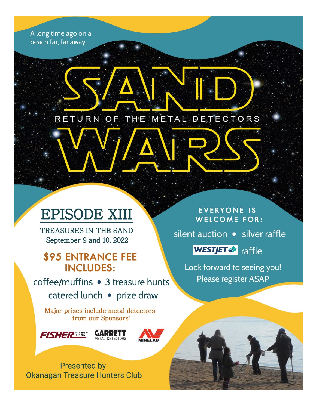A long time ago on a beach far, far away...

RETURN OF THE METAL DETECTORS

# **EPISODE XIII**

TREASURES IN THE SAND September 9 and 10, 2022

## **\$95 ENTRANCE FEE INCLUDES:**

coffee/muffins • 3 treasure hunts catered lunch • prize draw

Major prizes include metal detectors from our Sponsors!





**Presented by Okanagan Treasure Hunters Club** 

**EVERYONE IS WELCOME FOR:** 

silent auction • silver raffle

**WESTJET \*** raffle

Look forward to seeing you! Please register ASAP

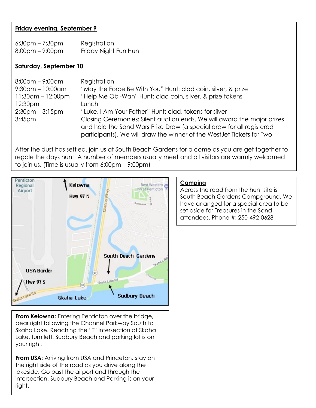#### **Friday evening, September 9**

| $6:30$ pm – 7:30pm                | Registration          |
|-----------------------------------|-----------------------|
| $8:00 \text{pm} - 9:00 \text{pm}$ | Friday Night Fun Hunt |

#### **Saturday, September 10**

| $8:00$ am – 9 $:00$ am | Registration                                                            |
|------------------------|-------------------------------------------------------------------------|
| $9:30$ am - 10:00am    | "May the Force Be With You" Hunt: clad coin, silver, & prize            |
| 11:30am - 12:00pm      | "Help Me Obi-Wan" Hunt: clad coin, silver, & prize tokens               |
| 12:30pm                | Lunch                                                                   |
| $2:30$ pm – $3:15$ pm  | "Luke, I Am Your Father" Hunt: clad, tokens for silver                  |
| 3:45 <sub>pm</sub>     | Closing Ceremonies: Silent auction ends. We will award the major prizes |
|                        | and hold the Sand Wars Prize Draw (a special draw for all registered    |
|                        | participants). We will draw the winner of the West Jet Tickets for Two  |

After the dust has settled, join us at South Beach Gardens for a come as you are get together to regale the days hunt. A number of members usually meet and all visitors are warmly welcomed to join us. (Time is usually from 6:00pm – 9:00pm)



**From Kelowna:** Entering Penticton over the bridge, bear right following the Channel Parkway South to Skaha Lake. Reaching the "T" intersection at Skaha Lake, turn left. Sudbury Beach and parking lot is on your right.

**From USA:** Arriving from USA and Princeton, stay on the right side of the road as you drive along the lakeside. Go past the airport and through the intersection. Sudbury Beach and Parking is on your right.

#### **Camping**

Across the road from the hunt site is South Beach Gardens Campground. We have arranged for a special area to be set aside for Treasures in the Sand attendees. Phone #: 250-492-0628